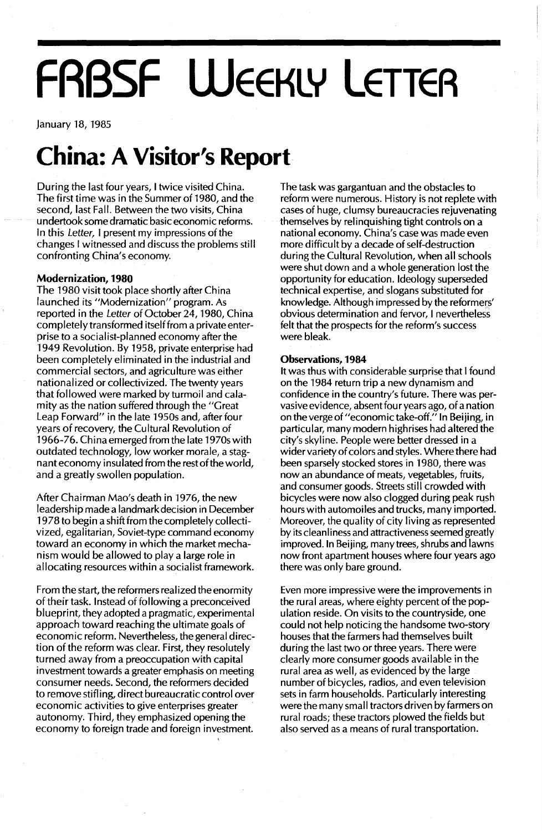# **FRBSF WEEKLY LETTER**

January 18, 1985

### **China: A Visitor's Report**

During the last four years, I twice visited China. The first time was in the Summer of 1980, and the second, last Fall. Between the two visits, China undertook some dramatic basic economic reforms. In this Letter, I present my impressions of the changes I witnessed and discuss the problems still confronting China's economy.

#### **Modernization, 1980**

The 1980 visit took place shortly after China launched its "Modernization" program. As reported in the Letter of October 24, 1980, China completely transformed itself from a private enterprise to a socialist-planned economy after the 1949 Revolution. By 1958, private enterprise had been completely eliminated in the industrial and commercial sectors, and agriculture was either nationalized or collectivized. The twenty years that followed were marked by turmoil and calamity as the nation suffered through the "Great Leap Forward" in the late 1950s and, after four years of recovery, the Cultural Revolution of 1966-76. China emerged from the late 1970s with outdated technology, low worker morale, a stagnant economy insulated from the rest of the world, and a greatly swollen population.

After Chairman Mao's death in 1976, the new leadership made a landmark decision in December 1978 to begin a shift from the completely collectivized, egalitarian, Soviet-type command economy toward an economy in which the market mechanism would be allowed to playa large role in allocating resources within a socialist framework.

From the start, the reformers real ized the enormity of their task. Instead of following a preconceived blueprint, they adopted a pragmatic, experimental approach toward reaching the ultimate goals of economic reform. Nevertheless, the general direction of the reform was clear. First, they resolutely turned away from a preoccupation with capital investment towards a greater emphasis on meeting consumer needs. Second, the reformers decided to remove stifling, direct bureaucratic control over economic activities to give enterprises greater autonomy. Third, they emphasized opening the economy to foreign trade and foreign investment.

The task was gargantuan and the obstacles to reform were numerous. History is not replete with cases of huge, clumsy bureaucracies rejuvenating themselves by relinquishing tight controls on a national economy. China's case was made even more difficult by a decade of self-destruction during the Cultural Revolution, when all schools were shut down and a whole generation lost the opportunity for education. Ideology superseded technical expertise, and slogans substituted for knowledge. Although impressed by the reformers' obvious determination and fervor, I nevertheless felt that the prospects for the reform's success were bleak.

#### Observations, 1984

**It** was thus with considerable surprise that I found on the 1984 return trip a new dynamism and confidence in the country's future. There was pervasive evidence, absent four years ago, of a nation onthevergeof"economictake-off." **In** Beijing, in particular, many modern highrises had altered the city's skyline. People were better dressed in a wider variety of colors and styles. Where there had been sparsely stocked stores in 1980, there was now an abundance of meats, vegetables, fruits, and consumer goods. Streets still crowded with bicycles were now also clogged during peak rush hours with automoiles and trucks, many imported. Moreover, the quality of city living as represented by its cleanliness and attractiveness seemed greatly improved. In Beijing, many trees, shrubs and lawns now front apartment houses where four years ago there was only bare ground.

Even more impressive were the improvements in the rural areas, where eighty percent of the population reside. On visits to the countryside, one could not help noticing the handsome two-story houses that the farmers had themselves buiIt during the last two or three years. There were clearly more consumer goods available in the rural area as well, as evidenced by the large number of bicycles, radios, and even television sets in farm households. Particularly interesting were the many small tractors driven by farmers on rural roads; these tractors plowed the fields but also served as a means of rural transportation.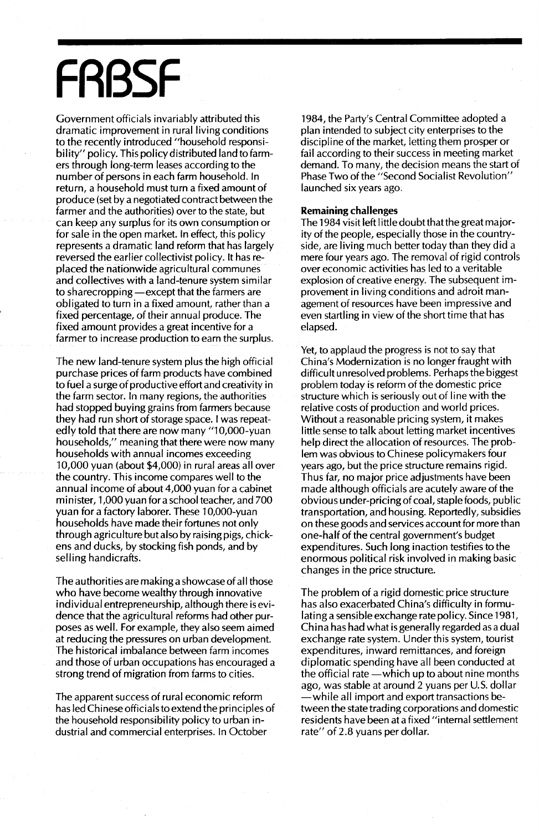## **FRBSF**

Government officials invariably attributed this dramatic improvement in rural living conditions to the recently introduced "household responsibility" policy. This policy distributed land to farmers through long-term leases according to the number of persons in each farm household. In return, a household must turn a fixed amount of produce (set by a negotiated contract between the farmer and the authorities) over to the state, but can keep any surplus for its own consumption or for sale in the open market. In effect, this policy represents a dramatic land reform that has largely reversed the earlier collectivist policy. It has replaced the nationwide agricultural communes and collectives with a land-tenure system similar to sharecropping — except that the farmers are obligated to turn in a fixed amount, rather than a fixed percentage, of their annual produce. The fixed amount provides a great incentive for a farmer to increase production to earn the surplus.

The new land-tenure system plus the high official purchase prices of farm products have combined to fuel a surge of productive effort and creativity in the farm sector. In many regions, the authorities had stopped buying grains from farmers because they had run short of storage space. I was repeatedly told that there are now many "10,000-yuan households," meaning that there were now many households with annual incomes exceeding 10,000 yuan (about \$4,000) in rural areas all over the country. This income compares well to the annual income of about 4,000 yuan for a cabinet minister, 1,000 yuan for a school teacher, and 700 yuan for a factory laborer. These 10,000-yuan households have made their fortunes not only through agriculture but also by raising pigs, chickens and ducks, by stocking fish ponds, and by selling handicrafts.

The authorities are making a showcase of all those who have become wealthy through innovative individual entrepreneurship, although there is evidence that the agricultural reforms had other purposes as well. For example, they also seem aimed at reducing the pressures on urban development. The historical imbalance between farm incomes and those of urban occupations has encouraged a strong trend of migration from farms to cities.

The apparent success of rural economic reform has led Chinese officials to extend the principles of the household responsibility policy to urban industrial and commercial enterprises. In October

1984, the Party's Central Committee adopted a plan intended to subject city enterprises to the discipline of the market, letting them prosper or fail according to their success in meeting market demand. To many, the decision means the start of Phase Two of the "Second Socialist Revolution" launched six years ago.

#### **Remaining challenges**

The 1984 visit left Iittle doubt thatthe great majority of the people, especially those in the countryside, are living much better today than they did a mere four years ago. The removal of rigid controls over economic activities has led to a veritable explosion of creative energy. The subsequent improvement in living conditions and adroit management of resources have been impressive and even startling in view of the short time that has elapsed.

Yet, to applaud the progress is not to say that China's Modernization is no longer fraught with difficult unresolved problems. Perhaps the biggest problem today is reform of the domestic price structure which is seriously out of line with the relative costs of production and world prices. Without a reasonable pricing system, it makes little sense to talk about letting market incentives help direct the allocation of resources. The problem was obvious to Chinese policymakers four years ago, but the price structure remains rigid. Thus far, no major price adjustments have been made although officials are acutely aware of the obvious under-pricing of coal, staple foods, public transportation, and housing. Reportedly, subsidies on these goods and services account for more than one-half of the central government's budget expenditures. Such long inaction testifies to the enormous political risk involved in making basic changes in the price structure.

The problem of a rigid domestic price structure has also exacerbated China's difficulty in formulating a sensible exchange rate policy. Since 1981, China has had what is generally regarded as a dual exchange rate system. Under this system, tourist expenditures, inward remittances, and foreign diplomatic spending have all been conducted at the official rate  $-w$ hich up to about nine months ago, was stable at around 2 yuans per U.S. dollar -while all import and export transactions between the state trading corporations and domestic residents have been at afixed "internal settlement rate" of 2.8 yuans per dollar.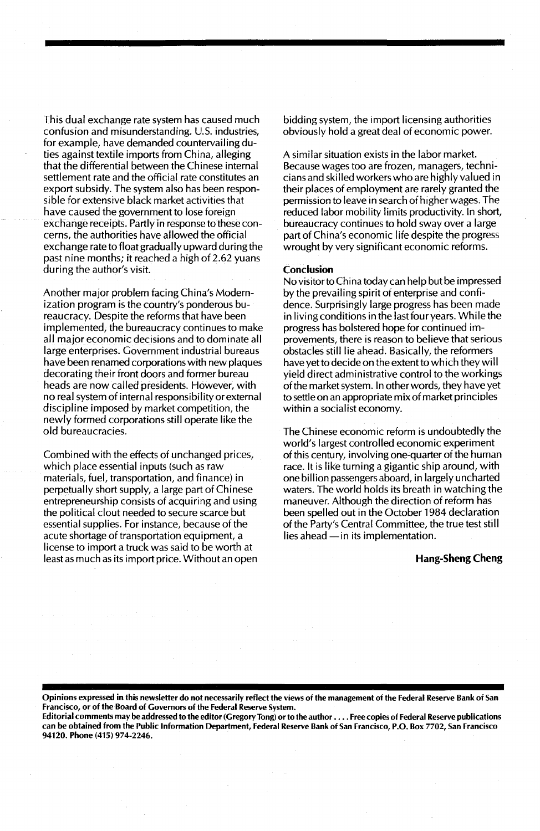This dual exchange rate system has caused much confusion and misunderstanding. U.S. industries, for example, have demanded countervailing duties against textile imports from China, alleging that the differential between the Chinese internal settlement rate and the official rate constitutes an export subsidy. The system also has been responsible for extensive black market activities that have caused the government to lose foreign exchange receipts. Partly in response to these concerns, the authorities have allowed the official exchange rate to float gradually upward during the past nine months; it reached a high of 2.62 yuans during the author's visit.

Another major problem facing China's Modernization program is the country's ponderous bureaucracy. Despite the reforms that have been implemented, the bureaucracy continues to make all major economic decisions and to dominate all large enterprises. Government industrial bureaus have been renamed corporations with new plaques decorating their front doors and former bureau heads are now called presidents. However, with no real system of internal responsibility or external discipline imposed by market competition, the newly formed corporations still operate like the old bureaucracies.

Combined with the effects of unchanged prices, which place essential inputs (such as raw materials, fuel, transportation, and finance) in perpetually short supply, a large part of Chinese entrepreneurship consists of acquiring and using the political clout needed to secure scarce but essential supplies. For instance, because of the acute shortage of transportation equipment, a license to import a truck was said to be worth at least as much as its import price. Without an open bidding system, the import licensing authorities obviously hold a great deal of economic power.

A similar situation exists in the labor market. Because wages too are frozen, managers, techniciansand skilled workers who are highly valued in their places of employment are rarely granted the permission to leave in search of higher wages. The reduced labor mobility limits productivity. In short, bureaucracy continues to hold sway over a large part of China's economic life despite the progress wrought by very significant economic reforms.

#### Conclusion

No visitor to China today can help but be impressed by the prevailing spirit of enterprise and confidence. Surprisingly large progress has been made in living conditions in the last four years. While the progress has bolstered hope for continued improvements, there is reason to believe that serious obstacles still lie ahead. Basically, the reformers have yetto decide on the extent to which they wi II yield direct administrative control to the workings ofthe market system. In other words, they have yet to settle on an appropriate mix of market principles within a socialist economy.

The Chinese economic reform is undoubtedly the world's largest controlled economic experiment of this century, involving one-quarter of the human race. It is like turning a gigantic ship around, with one biIIion passengers aboard, in largely uncharted waters. The world holds its breath in watching the maneuver. Although the direction of reform has been spelled out in the October 1984 declaration of the Party's Central Committee, the true test still  $lies ahead - in its implementation.$ 

#### Hang-Sheng Cheng

Opinions expressed in this newsletter do not necessarily reflect the views of the management of the Federal Reserve Bank of San Francisco, or of the Board of Governors of the Federal Reserve System.

Editorial comments may be addressed to the editor (Gregory Tong) orto the author .... Free copies of Federal Reserve publications can be obtained from the Public Information Department, Federal Reserve Bank of San Francisco, P.O. Box 7702, San Francisco 94120. Phone (415) 974-2246.